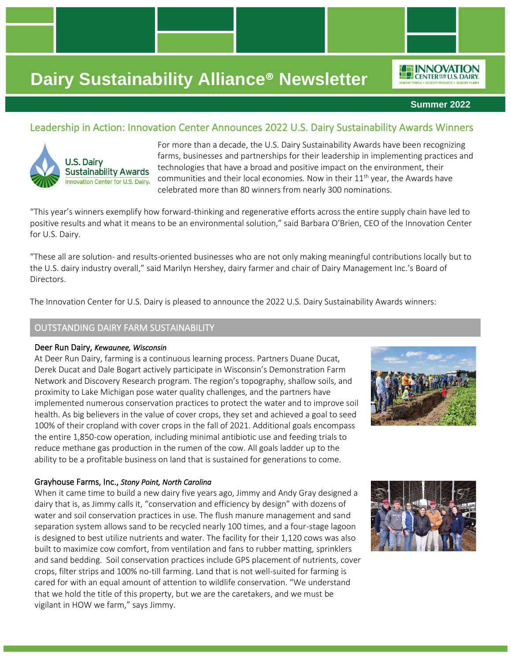

*IO***F INNOVATION** CENTER<sup>FOR</sup> U.S. DAIRY

### Leadership in Action: Innovation Center Announces 2022 U.S. Dairy Sustainability Awards Winners



For more than a decade, the U.S. Dairy Sustainability Awards have been recognizing farms, businesses and partnerships for their leadership in implementing practices and technologies that have a broad and positive impact on the environment, their communities and their local economies. Now in their  $11<sup>th</sup>$  year, the Awards have celebrated more than 80 winners from nearly 300 nominations.

"This year's winners exemplify how forward-thinking and regenerative efforts across the entire supply chain have led to positive results and what it means to be an environmental solution," said Barbara O'Brien, CEO of the Innovation Center for U.S. Dairy.

"These all are solution- and results-oriented businesses who are not only making meaningful contributions locally but to the U.S. dairy industry overall," said Marilyn Hershey, dairy farmer and chair of Dairy Management Inc.'s Board of Directors.

The Innovation Center for U.S. Dairy is pleased to announce the 2022 U.S. Dairy Sustainability Awards winners:

### OUTSTANDING DAIRY FARM SUSTAINABILITY

#### Deer Run Dairy, *Kewaunee, Wisconsin*

At Deer Run Dairy, farming is a continuous learning process. Partners Duane Ducat, Derek Ducat and Dale Bogart actively participate in Wisconsin's Demonstration Farm Network and Discovery Research program. The region's topography, shallow soils, and proximity to Lake Michigan pose water quality challenges, and the partners have implemented numerous conservation practices to protect the water and to improve soil health. As big believers in the value of cover crops, they set and achieved a goal to seed 100% of their cropland with cover crops in the fall of 2021. Additional goals encompass the entire 1,850-cow operation, including minimal antibiotic use and feeding trials to reduce methane gas production in the rumen of the cow. All goals ladder up to the ability to be a profitable business on land that is sustained for generations to come.



#### Grayhouse Farms, Inc., *Stony Point, North Carolina*

When it came time to build a new dairy five years ago, Jimmy and Andy Gray designed a dairy that is, as Jimmy calls it, "conservation and efficiency by design" with dozens of water and soil conservation practices in use. The flush manure management and sand separation system allows sand to be recycled nearly 100 times, and a four-stage lagoon is designed to best utilize nutrients and water. The facility for their 1,120 cows was also built to maximize cow comfort, from ventilation and fans to rubber matting, sprinklers and sand bedding. Soil conservation practices include GPS placement of nutrients, cover crops, filter strips and 100% no-till farming. Land that is not well-suited for farming is cared for with an equal amount of attention to wildlife conservation. "We understand that we hold the title of this property, but we are the caretakers, and we must be vigilant in HOW we farm," says Jimmy.

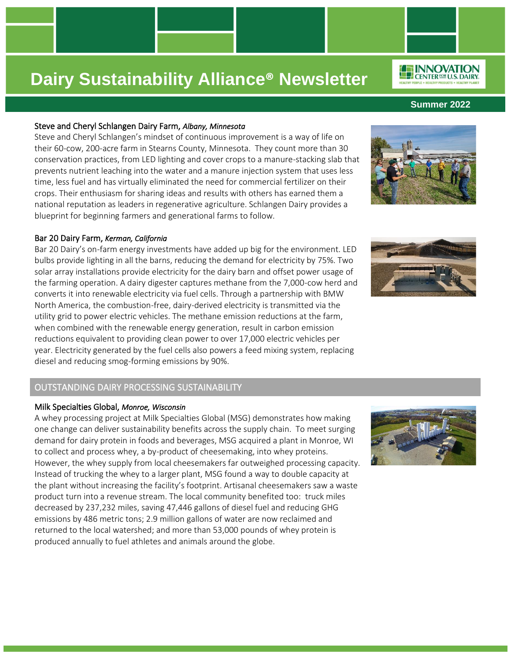#### Steve and Cheryl Schlangen Dairy Farm, *Albany, Minnesota*

Steve and Cheryl Schlangen's mindset of continuous improvement is a way of life on their 60-cow, 200-acre farm in Stearns County, Minnesota. They count more than 30 conservation practices, from LED lighting and cover crops to a manure-stacking slab that prevents nutrient leaching into the water and a manure injection system that uses less time, less fuel and has virtually eliminated the need for commercial fertilizer on their crops. Their enthusiasm for sharing ideas and results with others has earned them a national reputation as leaders in regenerative agriculture. Schlangen Dairy provides a blueprint for beginning farmers and generational farms to follow.

#### Bar 20 Dairy Farm, *Kerman, California*

Bar 20 Dairy's on-farm energy investments have added up big for the environment. LED bulbs provide lighting in all the barns, reducing the demand for electricity by 75%. Two solar array installations provide electricity for the dairy barn and offset power usage of the farming operation. A dairy digester captures methane from the 7,000-cow herd and converts it into renewable electricity via fuel cells. Through a partnership with BMW North America, the combustion-free, dairy-derived electricity is transmitted via the utility grid to power electric vehicles. The methane emission reductions at the farm, when combined with the renewable energy generation, result in carbon emission reductions equivalent to providing clean power to over 17,000 electric vehicles per year. Electricity generated by the fuel cells also powers a feed mixing system, replacing diesel and reducing smog-forming emissions by 90%.

### OUTSTANDING DAIRY PROCESSING SUSTAINABILITY

#### Milk Specialties Global, *Monroe, Wisconsin*

A whey processing project at Milk Specialties Global (MSG) demonstrates how making one change can deliver sustainability benefits across the supply chain. To meet surging demand for dairy protein in foods and beverages, MSG acquired a plant in Monroe, WI to collect and process whey, a by-product of cheesemaking, into whey proteins. However, the whey supply from local cheesemakers far outweighed processing capacity. Instead of trucking the whey to a larger plant, MSG found a way to double capacity at the plant without increasing the facility's footprint. Artisanal cheesemakers saw a waste product turn into a revenue stream. The local community benefited too: truck miles decreased by 237,232 miles, saving 47,446 gallons of diesel fuel and reducing GHG emissions by 486 metric tons; 2.9 million gallons of water are now reclaimed and returned to the local watershed; and more than 53,000 pounds of whey protein is produced annually to fuel athletes and animals around the globe.









**Summer 2022**



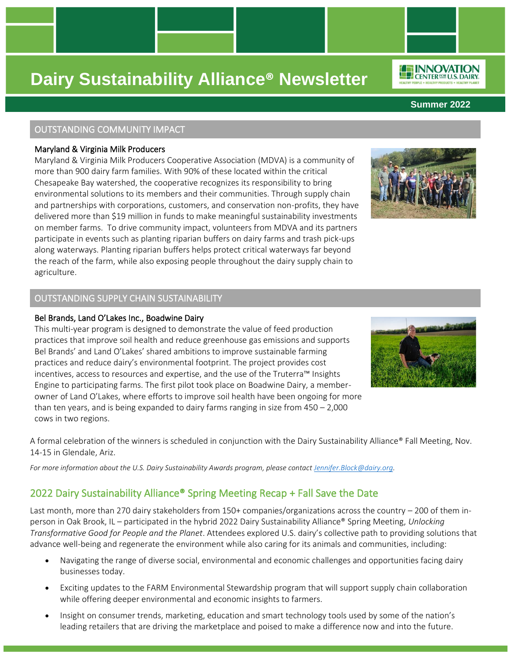### OUTSTANDING COMMUNITY IMPACT

### Maryland & Virginia Milk Producers

Maryland & Virginia Milk Producers Cooperative Association (MDVA) is a community of more than 900 dairy farm families. With 90% of these located within the critical Chesapeake Bay watershed, the cooperative recognizes its responsibility to bring environmental solutions to its members and their communities. Through supply chain and partnerships with corporations, customers, and conservation non-profits, they have delivered more than \$19 million in funds to make meaningful sustainability investments on member farms. To drive community impact, volunteers from MDVA and its partners participate in events such as planting riparian buffers on dairy farms and trash pick-ups along waterways. Planting riparian buffers helps protect critical waterways far beyond the reach of the farm, while also exposing people throughout the dairy supply chain to agriculture.

### OUTSTANDING SUPPLY CHAIN SUSTAINABILITY

#### Bel Brands, Land O'Lakes Inc., Boadwine Dairy

This multi-year program is designed to demonstrate the value of feed production practices that improve soil health and reduce greenhouse gas emissions and supports Bel Brands' and Land O'Lakes' shared ambitions to improve sustainable farming practices and reduce dairy's environmental footprint. The project provides cost incentives, access to resources and expertise, and the use of the Truterra™ Insights Engine to participating farms. The first pilot took place on Boadwine Dairy, a memberowner of Land O'Lakes, where efforts to improve soil health have been ongoing for more than ten years, and is being expanded to dairy farms ranging in size from 450 – 2,000 cows in two regions.

A formal celebration of the winners is scheduled in conjunction with the Dairy Sustainability Alliance® Fall Meeting, Nov. 14-15 in Glendale, Ariz.

*For more information about the U.S. Dairy Sustainability Awards program, please contac[t Jennifer.Block@dairy.org.](mailto:Jennifer.Block@dairy.org)*

## 2022 Dairy Sustainability Alliance® Spring Meeting Recap + Fall Save the Date

Last month, more than 270 dairy stakeholders from 150+ companies/organizations across the country – 200 of them inperson in Oak Brook, IL – participated in the hybrid 2022 Dairy Sustainability Alliance® Spring Meeting, *Unlocking Transformative Good for People and the Planet*. Attendees explored U.S. dairy's collective path to providing solutions that advance well-being and regenerate the environment while also caring for its animals and communities, including:

- Navigating the range of diverse social, environmental and economic challenges and opportunities facing dairy businesses today.
- Exciting updates to the FARM Environmental Stewardship program that will support supply chain collaboration while offering deeper environmental and economic insights to farmers.
- Insight on consumer trends, marketing, education and smart technology tools used by some of the nation's leading retailers that are driving the marketplace and poised to make a difference now and into the future.







**Summer 2022**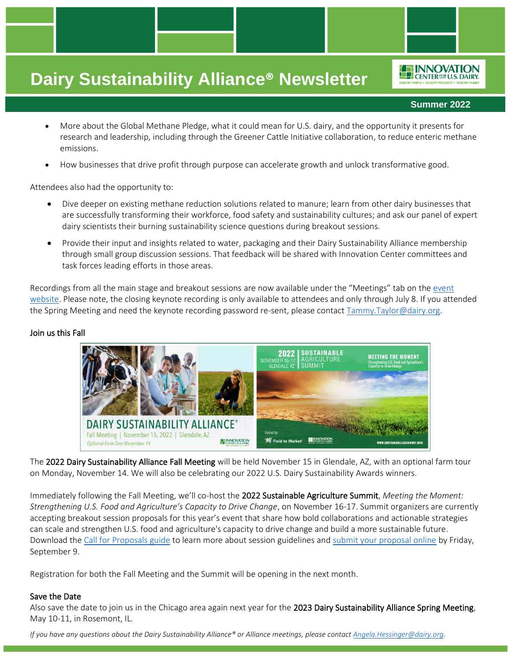**Summer 2022**

**EE INNOVATION** CENTER<sup>FOR</sup> U.S. DAIRY

- More about the Global Methane Pledge, what it could mean for U.S. dairy, and the opportunity it presents for research and leadership, including through the Greener Cattle Initiative collaboration, to reduce enteric methane emissions.
- How businesses that drive profit through purpose can accelerate growth and unlock transformative good.

Attendees also had the opportunity to:

- Dive deeper on existing methane reduction solutions related to manure; learn from other dairy businesses that are successfully transforming their workforce, food safety and sustainability cultures; and ask our panel of expert dairy scientists their burning sustainability science questions during breakout sessions.
- Provide their input and insights related to water, packaging and their Dairy Sustainability Alliance membership through small group discussion sessions. That feedback will be shared with Innovation Center committees and task forces leading efforts in those areas.

Recordings from all the main stage and breakout sessions are now available under the "Meetings" tab on the [event](https://alliancemeeting.usdairy.com/#/2022Spring)  [website.](https://alliancemeeting.usdairy.com/#/2022Spring) Please note, the closing keynote recording is only available to attendees and only through July 8. If you attended the Spring Meeting and need the keynote recording password re-sent, please contac[t Tammy.Taylor@dairy.org.](mailto:Tammy.Taylor@dairy.org)

#### Join us this Fall



The 2022 Dairy Sustainability Alliance Fall Meeting will be held November 15 in Glendale, AZ, with an optional farm tour on Monday, November 14. We will also be celebrating our 2022 U.S. Dairy Sustainability Awards winners.

Immediately following the Fall Meeting, we'll co-host the 2022 Sustainable Agriculture Summit, *Meeting the Moment: Strengthening U.S. Food and Agriculture's Capacity to Drive Change*, on November 16-17. Summit organizers are currently accepting breakout session proposals for this year's event that share how bold collaborations and actionable strategies can scale and strengthen U.S. food and agriculture's capacity to drive change and build a more sustainable future. Download th[e Call for Proposals guide](http://sustainableagsummit.org/wp-content/uploads/2022/06/2022-Call-for-Speakers_FINAL.pdf?utm_source=Sustainable+Ag+Summit&utm_campaign=2c6201e789-EMAIL_CAMPAIGN_6_8_2022&utm_medium=email&utm_term=0_16c42a71f0-2c6201e789-612052658&mc_cid=2c6201e789&mc_eid=f60264f545) to learn more about session guidelines an[d submit your proposal online](https://www.abstractscorecard.com/cfp/submit/login.asp?EventKey=GQCJFOGL&utm_source=Sustainable+Ag+Summit&utm_campaign=2c6201e789-EMAIL_CAMPAIGN_6_8_2022&utm_medium=email&utm_term=0_16c42a71f0-2c6201e789-612052658&mc_cid=2c6201e789&mc_eid=f60264f545) by Friday, September 9.

Registration for both the Fall Meeting and the Summit will be opening in the next month.

#### Save the Date

Also save the date to join us in the Chicago area again next year for the 2023 Dairy Sustainability Alliance Spring Meeting, May 10-11, in Rosemont, IL.

*If you have any questions about the Dairy Sustainability Alliance® or Alliance meetings, please contac[t Angela.Hessinger@dairy.org.](mailto:Angela.Hessinger@dairy.org)*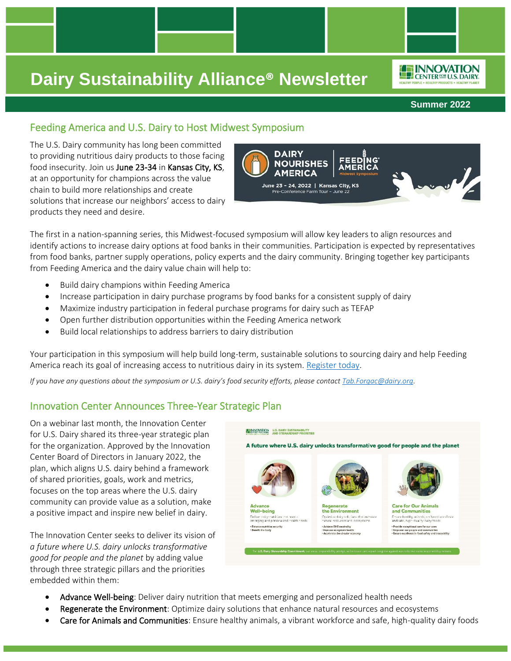**Summer 2022**

*IE INNOVATION* **LEP CENTER FOR U.S. DAIRY** 

## Feeding America and U.S. Dairy to Host Midwest Symposium

The U.S. Dairy community has long been committed to providing nutritious dairy products to those facing food insecurity. Join us June 23-34 in Kansas City, KS, at an opportunity for champions across the value chain to build more relationships and create solutions that increase our neighbors' access to dairy products they need and desire.



The first in a nation-spanning series, this Midwest-focused symposium will allow key leaders to align resources and identify actions to increase dairy options at food banks in their communities. Participation is expected by representatives from food banks, partner supply operations, policy experts and the dairy community. Bringing together key participants from Feeding America and the dairy value chain will help to:

- Build dairy champions within Feeding America
- Increase participation in dairy purchase programs by food banks for a consistent supply of dairy
- Maximize industry participation in federal purchase programs for dairy such as TEFAP
- Open further distribution opportunities within the Feeding America network
- Build local relationships to address barriers to dairy distribution

Your participation in this symposium will help build long-term, sustainable solutions to sourcing dairy and help Feeding America reach its goal of increasing access to nutritious dairy in its system. [Register today.](https://www.dairynourishesamerica.org/?mc_cid=22d9ff9b68&mc_eid=UNIQID)

*If you have any questions about the symposium or U.S. dairy's food security efforts, please contac[t Tab.Forgac@dairy.org.](mailto:Tab.Forgac@dairy.org)*

## Innovation Center Announces Three-Year Strategic Plan

On a webinar last month, the Innovation Center for U.S. Dairy shared its three-year strategic plan for the organization. Approved by the Innovation Center Board of Directors in January 2022, the plan, which aligns U.S. dairy behind a framework of shared priorities, goals, work and metrics, focuses on the top areas where the U.S. dairy community can provide value as a solution, make a positive impact and inspire new belief in dairy.

The Innovation Center seeks to deliver its vision of *a future where U.S. dairy unlocks transformative good for people and the planet* by adding value through three strategic pillars and the priorities embedded within them:



- Advance Well-being: Deliver dairy nutrition that meets emerging and personalized health needs
- Regenerate the Environment: Optimize dairy solutions that enhance natural resources and ecosystems
- Care for Animals and Communities: Ensure healthy animals, a vibrant workforce and safe, high-quality dairy foods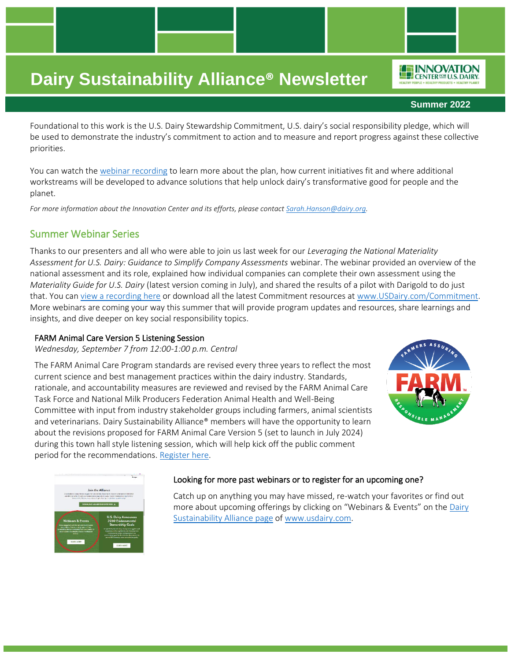#### **Summer 2022**

**FEINNOVATION** CENTER FOR U.S. DAIRY

Foundational to this work is the U.S. Dairy Stewardship Commitment, U.S. dairy's social responsibility pledge, which will be used to demonstrate the industry's commitment to action and to measure and report progress against these collective priorities.

You can watch the [webinar recording](https://vimeo.com/708381535/06cd5755a9) to learn more about the plan, how current initiatives fit and where additional workstreams will be developed to advance solutions that help unlock dairy's transformative good for people and the planet.

*For more information about the Innovation Center and its efforts, please contact [Sarah.Hanson@dairy.org.](mailto:Sarah.Hanson@dairy.org)* 

### Summer Webinar Series

Thanks to our presenters and all who were able to join us last week for our *Leveraging the National Materiality Assessment for U.S. Dairy: Guidance to Simplify Company Assessments* webinar. The webinar provided an overview of the national assessment and its role, explained how individual companies can complete their own assessment using the *Materiality Guide for U.S. Dairy* (latest version coming in July), and shared the results of a pilot with Darigold to do just that. You ca[n view a recording here](https://vimeo.com/719153506/18ed28ae37) or download all the latest Commitment resources at [www.USDairy.com/Commitment.](http://www.usdairy.com/Commitment) More webinars are coming your way this summer that will provide program updates and resources, share learnings and insights, and dive deeper on key social responsibility topics.

#### FARM Animal Care Version 5 Listening Session

*Wednesday, September 7 from 12:00-1:00 p.m. Central*

The FARM Animal Care Program standards are revised every three years to reflect the most current science and best management practices within the dairy industry. Standards, rationale, and accountability measures are reviewed and revised by the FARM Animal Care Task Force and National Milk Producers Federation Animal Health and Well-Being Committee with input from industry stakeholder groups including farmers, animal scientists and veterinarians. Dairy Sustainability Alliance® members will have the opportunity to learn about the revisions proposed for FARM Animal Care Version 5 (set to launch in July 2024) during this town hall style listening session, which will help kick off the public comment period for the recommendations. [Register here.](https://dairy.zoom.us/webinar/register/WN_ZEOIk-vKSWmiKzN15leu6g)





#### Looking for more past webinars or to register for an upcoming one?

Catch up on anything you may have missed, re-watch your favorites or find out more about upcoming offerings by clicking on "Webinars & Events" on the [Dairy](http://www.usdairy.com/sustainabilityalliance)  [Sustainability Alliance page](http://www.usdairy.com/sustainabilityalliance) of [www.usdairy.com.](http://www.usdairy.com/)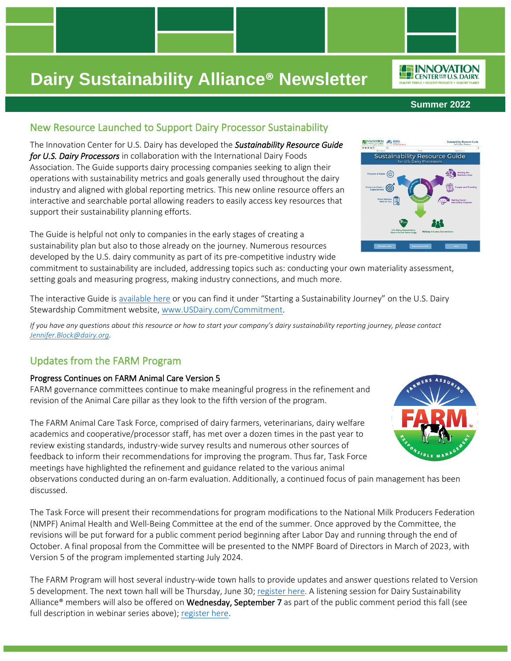### New Resource Launched to Support Dairy Processor Sustainability

The Innovation Center for U.S. Dairy has developed the *Sustainability Resource Guide for U.S. Dairy Processors* in collaboration with the International Dairy Foods Association. The Guide supports dairy processing companies seeking to align their operations with sustainability metrics and goals generally used throughout the dairy industry and aligned with global reporting metrics. This new online resource offers an interactive and searchable portal allowing readers to easily access key resources that support their sustainability planning efforts.

The Guide is helpful not only to companies in the early stages of creating a sustainability plan but also to those already on the journey. Numerous resources developed by the U.S. dairy community as part of its pre-competitive industry wide

commitment to sustainability are included, addressing topics such as: conducting your own materiality assessment, setting goals and measuring progress, making industry connections, and much more.

The interactive Guide is [available here](https://srg.usdairy.com/HTML1/tiles.htm) or you can find it under "Starting a Sustainability Journey" on the U.S. Dairy Stewardship Commitment website, [www.USDairy.com/Commitment.](http://www.usdairy.com/commitment)

*If you have any questions about this resource or how to start your company's dairy sustainability reporting journey, please contact [Jennifer.Block@dairy.org.](mailto:Jennifer.Block@dairy.org)* 

## Updates from the FARM Program

### Progress Continues on FARM Animal Care Version 5

FARM governance committees continue to make meaningful progress in the refinement and revision of the Animal Care pillar as they look to the fifth version of the program.

The FARM Animal Care Task Force, comprised of dairy farmers, veterinarians, dairy welfare academics and cooperative/processor staff, has met over a dozen times in the past year to review existing standards, industry-wide survey results and numerous other sources of feedback to inform their recommendations for improving the program. Thus far, Task Force meetings have highlighted the refinement and guidance related to the various animal

observations conducted during an on-farm evaluation. Additionally, a continued focus of pain management has been discussed.

The Task Force will present their recommendations for program modifications to the National Milk Producers Federation (NMPF) Animal Health and Well-Being Committee at the end of the summer. Once approved by the Committee, the revisions will be put forward for a public comment period beginning after Labor Day and running through the end of October. A final proposal from the Committee will be presented to the NMPF Board of Directors in March of 2023, with Version 5 of the program implemented starting July 2024.

The FARM Program will host several industry-wide town halls to provide updates and answer questions related to Version 5 development. The next town hall will be Thursday, June 30[; register here.](https://us02web.zoom.us/webinar/register/WN_vaLfwDNxRKmVQdhEHwYjvg) A listening session for Dairy Sustainability Alliance<sup>®</sup> members will also be offered on **Wednesday, September 7** as part of the public comment period this fall (see full description in webinar series above); [register here.](https://dairy.zoom.us/webinar/register/WN_ZEOIk-vKSWmiKzN15leu6g)



PR.







**Summer 2022**

**Sustainability Resource Guide** 

nability Reso

**ELINNOVATION**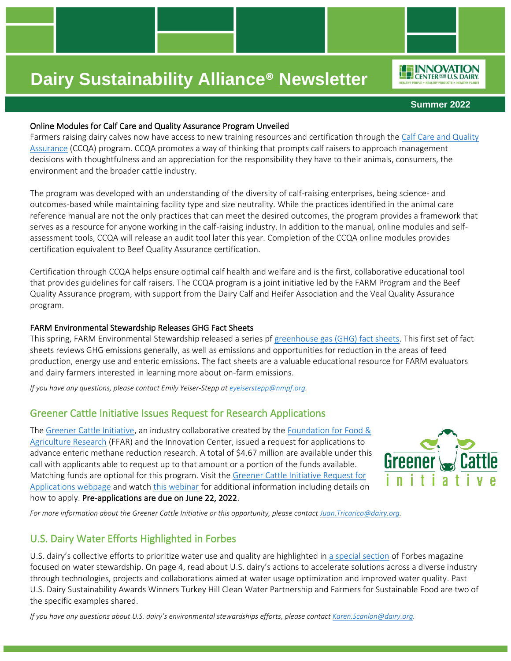

*ILE INNOVATION* 

**Summer 2022**

### Online Modules for Calf Care and Quality Assurance Program Unveiled

Farmers raising dairy calves now have access to new training resources and certification through the Calf Care and Quality [Assurance](http://www.calfcareqa.org/) (CCQA) program. CCQA promotes a way of thinking that prompts calf raisers to approach management decisions with thoughtfulness and an appreciation for the responsibility they have to their animals, consumers, the environment and the broader cattle industry.

The program was developed with an understanding of the diversity of calf-raising enterprises, being science- and outcomes-based while maintaining facility type and size neutrality. While the practices identified in the animal care reference manual are not the only practices that can meet the desired outcomes, the program provides a framework that serves as a resource for anyone working in the calf-raising industry. In addition to the manual, online modules and selfassessment tools, CCQA will release an audit tool later this year. Completion of the CCQA online modules provides certification equivalent to Beef Quality Assurance certification.

Certification through CCQA helps ensure optimal calf health and welfare and is the first, collaborative educational tool that provides guidelines for calf raisers. The CCQA program is a joint initiative led by the FARM Program and the Beef Quality Assurance program, with support from the Dairy Calf and Heifer Association and the Veal Quality Assurance program.

### FARM Environmental Stewardship Releases GHG Fact Sheets

This spring, FARM Environmental Stewardship released a series pf [greenhouse gas \(GHG\) fact sheets.](https://nationaldairyfarm.com/producer-resources/environment/) This first set of fact sheets reviews GHG emissions generally, as well as emissions and opportunities for reduction in the areas of feed production, energy use and enteric emissions. The fact sheets are a valuable educational resource for FARM evaluators and dairy farmers interested in learning more about on-farm emissions.

*If you have any questions, please contact Emily Yeiser-Stepp at [eyeiserstepp@nmpf.org.](mailto:eyeiserstepp@nmpf.org)*

## Greener Cattle Initiative Issues Request for Research Applications

The [Greener Cattle Initiative,](https://nam12.safelinks.protection.outlook.com/?url=https%3A%2F%2Ffoundationfar.org%2Fconsortia%2Fgreener-cattle-initiative%2F&data=05%7C01%7Cangela.hessinger%40dairy.org%7Cb19718c5cd344be5eee508da433c380e%7C4a5c3ca3613143b194be00fe342a7c7c%7C0%7C0%7C637896223472173441%7CUnknown%7CTWFpbGZsb3d8eyJWIjoiMC4wLjAwMDAiLCJQIjoiV2luMzIiLCJBTiI6Ik1haWwiLCJXVCI6Mn0%3D%7C3000%7C%7C%7C&sdata=jidhz7HR3EEPBxA5632uwgeMqBTKMA%2B%2BH2q9chIJsY0%3D&reserved=0) an industry collaborative created by the Foundation for Food & [Agriculture Research](https://nam12.safelinks.protection.outlook.com/?url=http%3A%2F%2Fwww.foundationfar.org%2F&data=05%7C01%7Cangela.hessinger%40dairy.org%7Cb19718c5cd344be5eee508da433c380e%7C4a5c3ca3613143b194be00fe342a7c7c%7C0%7C0%7C637896223472173441%7CUnknown%7CTWFpbGZsb3d8eyJWIjoiMC4wLjAwMDAiLCJQIjoiV2luMzIiLCJBTiI6Ik1haWwiLCJXVCI6Mn0%3D%7C3000%7C%7C%7C&sdata=VKXbwOWMOnLfndiWZ%2FY0vM%2FbF57lmF5zG0Wsn1%2BAHCE%3D&reserved=0) (FFAR) and the Innovation Center, issued a request for applications to advance enteric methane reduction research. A total of \$4.67 million are available under this call with applicants able to request up to that amount or a portion of the funds available. Matching funds are optional for this program. Visit the [Greener Cattle Initiative Request for](https://nam12.safelinks.protection.outlook.com/?url=https%3A%2F%2Ffoundationfar.org%2Fgrants-funding%2Fopportunities%2Fgreener-cattle-initiative-request-for-applications%2F&data=05%7C01%7Cangela.hessinger%40dairy.org%7Cb19718c5cd344be5eee508da433c380e%7C4a5c3ca3613143b194be00fe342a7c7c%7C0%7C0%7C637896223472173441%7CUnknown%7CTWFpbGZsb3d8eyJWIjoiMC4wLjAwMDAiLCJQIjoiV2luMzIiLCJBTiI6Ik1haWwiLCJXVCI6Mn0%3D%7C3000%7C%7C%7C&sdata=Wk9Hx34dLlVWQCxRbX8Nb4lKi1pZS1SMTWIhmXJwxTU%3D&reserved=0)  [Applications webpage](https://nam12.safelinks.protection.outlook.com/?url=https%3A%2F%2Ffoundationfar.org%2Fgrants-funding%2Fopportunities%2Fgreener-cattle-initiative-request-for-applications%2F&data=05%7C01%7Cangela.hessinger%40dairy.org%7Cb19718c5cd344be5eee508da433c380e%7C4a5c3ca3613143b194be00fe342a7c7c%7C0%7C0%7C637896223472173441%7CUnknown%7CTWFpbGZsb3d8eyJWIjoiMC4wLjAwMDAiLCJQIjoiV2luMzIiLCJBTiI6Ik1haWwiLCJXVCI6Mn0%3D%7C3000%7C%7C%7C&sdata=Wk9Hx34dLlVWQCxRbX8Nb4lKi1pZS1SMTWIhmXJwxTU%3D&reserved=0) and watch [this webinar](https://nam12.safelinks.protection.outlook.com/?url=https%3A%2F%2Ffoundationfar.org%2Fevents%2Fgreener-cattle-initiative-2022-request-for-proposals-informational-webinar%2F&data=05%7C01%7Cangela.hessinger%40dairy.org%7Cb19718c5cd344be5eee508da433c380e%7C4a5c3ca3613143b194be00fe342a7c7c%7C0%7C0%7C637896223472173441%7CUnknown%7CTWFpbGZsb3d8eyJWIjoiMC4wLjAwMDAiLCJQIjoiV2luMzIiLCJBTiI6Ik1haWwiLCJXVCI6Mn0%3D%7C3000%7C%7C%7C&sdata=MFh%2ByzB2y2zbrL7biK0%2BSAPE0X8XAJpIL79gO1WT9tE%3D&reserved=0) for additional information including details on how to apply. Pre-applications are due on June 22, 2022.



*For more information about the Greener Cattle Initiative or this opportunity, please contac[t Juan.Tricarico@dairy.org.](mailto:Juan.Tricarico@dairy.org)*

## U.S. Dairy Water Efforts Highlighted in Forbes

U.S. dairy's collective efforts to prioritize water use and quality are highlighted in [a special section](https://forbes.docsend.com/view/x2ayndipyhdkdah6) of Forbes magazine focused on water stewardship. On page 4, read about U.S. dairy's actions to accelerate solutions across a diverse industry through technologies, projects and collaborations aimed at water usage optimization and improved water quality. Past U.S. Dairy Sustainability Awards Winners Turkey Hill Clean Water Partnership and Farmers for Sustainable Food are two of the specific examples shared.

*If you have any questions about U.S. dairy's environmental stewardships efforts, please contact [Karen.Scanlon@dairy.org.](mailto:Karen.Scanlon@dairy.org)*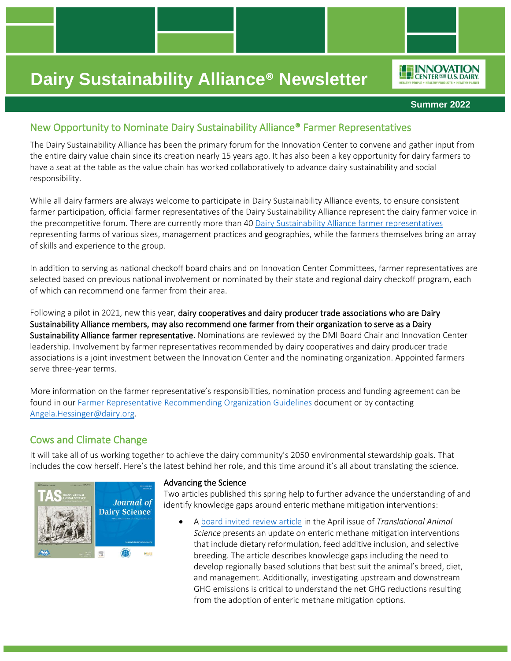**Summer 2022**

*IO***F INNOVATION** CENTER<sup>FOR</sup> U.S. DAIRY

## New Opportunity to Nominate Dairy Sustainability Alliance® Farmer Representatives

The Dairy Sustainability Alliance has been the primary forum for the Innovation Center to convene and gather input from the entire dairy value chain since its creation nearly 15 years ago. It has also been a key opportunity for dairy farmers to have a seat at the table as the value chain has worked collaboratively to advance dairy sustainability and social responsibility.

While all dairy farmers are always welcome to participate in Dairy Sustainability Alliance events, to ensure consistent farmer participation, official farmer representatives of the Dairy Sustainability Alliance represent the dairy farmer voice in the precompetitive forum. There are currently more than 40 [Dairy Sustainability Alliance farmer representatives](https://rosedmi-my.sharepoint.com/:b:/g/personal/angela_hessinger_dairy_org/EdhLY1CUJlJHifnmwjoklmcBfpn0Zz3SvUGPW93A-Aaqsw?e=Wrtsrt) representing farms of various sizes, management practices and geographies, while the farmers themselves bring an array of skills and experience to the group.

In addition to serving as national checkoff board chairs and on Innovation Center Committees, farmer representatives are selected based on previous national involvement or nominated by their state and regional dairy checkoff program, each of which can recommend one farmer from their area.

Following a pilot in 2021, new this year, dairy cooperatives and dairy producer trade associations who are Dairy Sustainability Alliance members, may also recommend one farmer from their organization to serve as a Dairy Sustainability Alliance farmer representative. Nominations are reviewed by the DMI Board Chair and Innovation Center leadership. Involvement by farmer representatives recommended by dairy cooperatives and dairy producer trade associations is a joint investment between the Innovation Center and the nominating organization. Appointed farmers serve three-year terms.

More information on the farmer representative's responsibilities, nomination process and funding agreement can be found in our [Farmer Representative Recommending Organization Guidelines](https://rosedmi-my.sharepoint.com/:b:/g/personal/angela_hessinger_dairy_org/EQRhbF3vQ-VDlhXfkKgWog0BVtw--LTH0h9Tekgvva8rKg?e=zt2PLe) document or by contacting [Angela.Hessinger@dairy.org.](mailto:Angela.Hessinger@dairy.org)

## Cows and Climate Change

It will take all of us working together to achieve the dairy community's 2050 environmental stewardship goals. That includes the cow herself. Here's the latest behind her role, and this time around it's all about translating the science.



#### Advancing the Science

Two articles published this spring help to further advance the understanding of and identify knowledge gaps around enteric methane mitigation interventions:

• A [board invited review article](https://nam12.safelinks.protection.outlook.com/?url=https%3A%2F%2Fdoi.org%2F10.1093%2Ftas%2Ftxac041&data=05%7C01%7Cangela.hessinger%40dairy.org%7Cb19718c5cd344be5eee508da433c380e%7C4a5c3ca3613143b194be00fe342a7c7c%7C0%7C0%7C637896223472173441%7CUnknown%7CTWFpbGZsb3d8eyJWIjoiMC4wLjAwMDAiLCJQIjoiV2luMzIiLCJBTiI6Ik1haWwiLCJXVCI6Mn0%3D%7C3000%7C%7C%7C&sdata=dmtKQECMLNYyHhiRdA%2BSsYsJ4ytGWn7g2jwKtf0L%2BA4%3D&reserved=0) in the April issue of *Translational Animal Science* presents an update on enteric methane mitigation interventions that include dietary reformulation, feed additive inclusion, and selective breeding. The article describes knowledge gaps including the need to develop regionally based solutions that best suit the animal's breed, diet, and management. Additionally, investigating upstream and downstream GHG emissions is critical to understand the net GHG reductions resulting from the adoption of enteric methane mitigation options.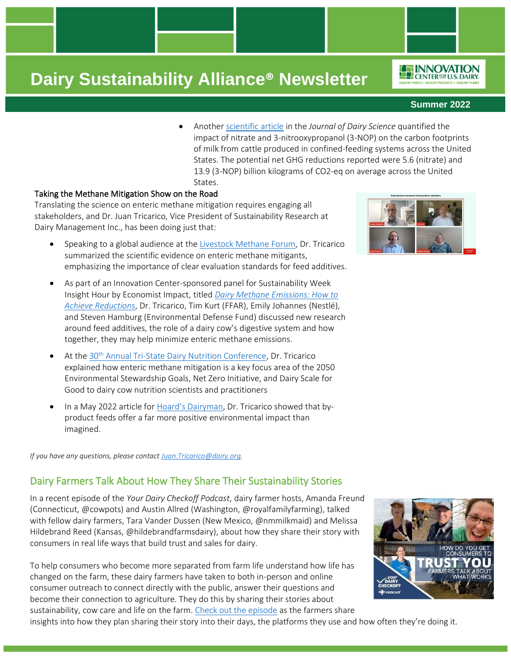- **Summer 2022**
- Another [scientific article](https://nam12.safelinks.protection.outlook.com/?url=https%3A%2F%2Fdoi.org%2F10.3168%2Fjds.2021-20988&data=05%7C01%7Cangela.hessinger%40dairy.org%7Cb19718c5cd344be5eee508da433c380e%7C4a5c3ca3613143b194be00fe342a7c7c%7C0%7C0%7C637896223472173441%7CUnknown%7CTWFpbGZsb3d8eyJWIjoiMC4wLjAwMDAiLCJQIjoiV2luMzIiLCJBTiI6Ik1haWwiLCJXVCI6Mn0%3D%7C3000%7C%7C%7C&sdata=LuADvODSmzsij78i6O1i2ansJRE4zfIAa6A6svbnFI4%3D&reserved=0) in the *Journal of Dairy Science* quantified the impact of nitrate and 3-nitrooxypropanol (3-NOP) on the carbon footprints of milk from cattle produced in confined-feeding systems across the United States. The potential net GHG reductions reported were 5.6 (nitrate) and 13.9 (3-NOP) billion kilograms of CO2-eq on average across the United States.

### Taking the Methane Mitigation Show on the Road

Translating the science on enteric methane mitigation requires engaging all stakeholders, and Dr. Juan Tricarico, Vice President of Sustainability Research at Dairy Management Inc., has been doing just that:

- Speaking to a global audience at the [Livestock Methane Forum,](https://nam12.safelinks.protection.outlook.com/?url=https%3A%2F%2Fwww.brytfmonline.com%2Fthe-event-reinforces-the-role-of-science-in-the-race-to-reduce-greenhouse-gas-emissions-portal-dbo%2F&data=05%7C01%7Cangela.hessinger%40dairy.org%7Cb19718c5cd344be5eee508da433c380e%7C4a5c3ca3613143b194be00fe342a7c7c%7C0%7C0%7C637896223472173441%7CUnknown%7CTWFpbGZsb3d8eyJWIjoiMC4wLjAwMDAiLCJQIjoiV2luMzIiLCJBTiI6Ik1haWwiLCJXVCI6Mn0%3D%7C3000%7C%7C%7C&sdata=37a7UpiDui96a%2FS6%2BHGwzI6MAeNsfg8oUntDnordbdM%3D&reserved=0) Dr. Tricarico summarized the scientific evidence on enteric methane mitigants, emphasizing the importance of clear evaluation standards for feed additives.
- As part of an Innovation Center-sponsored panel for Sustainability Week Insight Hour by Economist Impact, titled *[Dairy Methane Emissions: How to](https://nam12.safelinks.protection.outlook.com/?url=https%3A%2F%2Feventscustom.economist.com%2Fwebinar%2Fdairy-methane-emissions-how-to-achieve-reductions%2F%3F_ga%3D2.237507461.403410572.1651675322-1502235373.1649452920&data=05%7C01%7Cangela.hessinger%40dairy.org%7C8a0207a1a8d44f402e6508da44159757%7C4a5c3ca3613143b194be00fe342a7c7c%7C0%7C0%7C637897156785585535%7CUnknown%7CTWFpbGZsb3d8eyJWIjoiMC4wLjAwMDAiLCJQIjoiV2luMzIiLCJBTiI6Ik1haWwiLCJXVCI6Mn0%3D%7C3000%7C%7C%7C&sdata=DM%2BYU4RutDIqvlEdrpAs0Fco3QZwfDx6F67KdrfsWcs%3D&reserved=0)  [Achieve Reductions](https://nam12.safelinks.protection.outlook.com/?url=https%3A%2F%2Feventscustom.economist.com%2Fwebinar%2Fdairy-methane-emissions-how-to-achieve-reductions%2F%3F_ga%3D2.237507461.403410572.1651675322-1502235373.1649452920&data=05%7C01%7Cangela.hessinger%40dairy.org%7C8a0207a1a8d44f402e6508da44159757%7C4a5c3ca3613143b194be00fe342a7c7c%7C0%7C0%7C637897156785585535%7CUnknown%7CTWFpbGZsb3d8eyJWIjoiMC4wLjAwMDAiLCJQIjoiV2luMzIiLCJBTiI6Ik1haWwiLCJXVCI6Mn0%3D%7C3000%7C%7C%7C&sdata=DM%2BYU4RutDIqvlEdrpAs0Fco3QZwfDx6F67KdrfsWcs%3D&reserved=0)*, Dr. Tricarico, Tim Kurt (FFAR), Emily Johannes (Nestlé), and Steven Hamburg (Environmental Defense Fund) discussed new research around feed additives, the role of a dairy cow's digestive system and how together, they may help minimize enteric methane emissions.
- At the 30<sup>th</sup> [Annual Tri-State Dairy Nutrition Conference,](https://nam12.safelinks.protection.outlook.com/?url=https%3A%2F%2Fwww.tristatedairy.org%2Farticles-sorted-by-year&data=05%7C01%7Cangela.hessinger%40dairy.org%7Cb19718c5cd344be5eee508da433c380e%7C4a5c3ca3613143b194be00fe342a7c7c%7C0%7C0%7C637896223472173441%7CUnknown%7CTWFpbGZsb3d8eyJWIjoiMC4wLjAwMDAiLCJQIjoiV2luMzIiLCJBTiI6Ik1haWwiLCJXVCI6Mn0%3D%7C3000%7C%7C%7C&sdata=BGFv0wCn1G0GRK03Fh4vpifzWitNCn%2F3Icv5ur3KpKQ%3D&reserved=0) Dr. Tricarico explained how enteric methane mitigation is a key focus area of the 2050 Environmental Stewardship Goals, Net Zero Initiative, and Dairy Scale for Good to dairy cow nutrition scientists and practitioners
- In a May 2022 article for [Hoard's Dairyman](https://nam12.safelinks.protection.outlook.com/?url=https%3A%2F%2Fhoards.com%2Farticle-31930-by-products-fuel-one-third-of-dairy-cow-diets.html&data=05%7C01%7Cangela.hessinger%40dairy.org%7Cb19718c5cd344be5eee508da433c380e%7C4a5c3ca3613143b194be00fe342a7c7c%7C0%7C0%7C637896223472173441%7CUnknown%7CTWFpbGZsb3d8eyJWIjoiMC4wLjAwMDAiLCJQIjoiV2luMzIiLCJBTiI6Ik1haWwiLCJXVCI6Mn0%3D%7C3000%7C%7C%7C&sdata=6GCBo48rZnEcnRwTSyCgzFZavx43dkuAKWWbtn73xDk%3D&reserved=0), Dr. Tricarico showed that byproduct feeds offer a far more positive environmental impact than imagined.

*If you have any questions, please contac[t Juan.Tricarico@dairy.org.](mailto:Juan.Tricarico@dairy.org)*

### Dairy Farmers Talk About How They Share Their Sustainability Stories

In a recent episode of the *Your Dairy Checkoff Podcast*, dairy farmer hosts, Amanda Freund (Connecticut, @cowpots) and Austin Allred (Washington, @royalfamilyfarming), talked with fellow dairy farmers, Tara Vander Dussen (New Mexico, @nmmilkmaid) and Melissa Hildebrand Reed (Kansas, @hildebrandfarmsdairy), about how they share their story with consumers in real life ways that build trust and sales for dairy.

To help consumers who become more separated from farm life understand how life has changed on the farm, these dairy farmers have taken to both in-person and online consumer outreach to connect directly with the public, answer their questions and become their connection to agriculture. They do this by sharing their stories about sustainability, cow care and life on the farm. [Check out the episode](https://dairycheckoffpodcast.com/podcast/episode-11-how-do-you-get-consumers-to-trust-you-farmers-talk-about-what-works/) as the farmers share

insights into how they plan sharing their story into their days, the platforms they use and how often they're doing it.





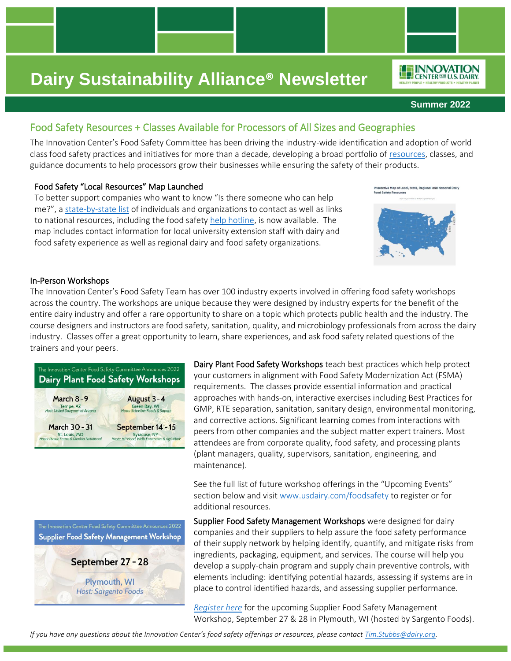**Summer 2022**

*IO***F INNOVATION LEP CENTER FOR U.S. DAIRY** 

## Food Safety Resources + Classes Available for Processors of All Sizes and Geographies

The Innovation Center's Food Safety Committee has been driving the industry-wide identification and adoption of world class food safety practices and initiatives for more than a decade, developing a broad portfolio of [resources,](https://www.usdairy.com/getmedia/3be14a94-514e-4573-8ce8-08629b8693b7/Food-Safety-Resources-2021.pdf) classes, and guidance documents to help processors grow their businesses while ensuring the safety of their products.

### Food Safety "Local Resources" Map Launched

To better support companies who want to know "Is there someone who can help me?", a [state-by-state list](https://www.idfa.org/safeicecream/food-safety-map/) of individuals and organizations to contact as well as links to national resources, including the food safety [help hotline,](https://nam12.safelinks.protection.outlook.com/?url=http%3A%2F%2Fmailto%3ADairyfoodsafetycoach%40cornell.edu%2F&data=05%7C01%7CAngela.Hessinger%40dairy.org%7Ceb57e6cc6ab84a4c6fa808da50829e6b%7C4a5c3ca3613143b194be00fe342a7c7c%7C0%7C1%7C637910819207244313%7CUnknown%7CTWFpbGZsb3d8eyJWIjoiMC4wLjAwMDAiLCJQIjoiV2luMzIiLCJBTiI6Ik1haWwiLCJXVCI6Mn0%3D%7C3000%7C%7C%7C&sdata=eJLW%2BIy6CgcGmQq2YQEcnTowubVxEH1G8PulB6XDC7s%3D&reserved=0) is now available. The map includes contact information for local university extension staff with dairy and food safety experience as well as regional dairy and food safety organizations.



### In-Person Workshops

The Innovation Center's Food Safety Team has over 100 industry experts involved in offering food safety workshops across the country. The workshops are unique because they were designed by industry experts for the benefit of the entire dairy industry and offer a rare opportunity to share on a topic which protects public health and the industry. The course designers and instructors are food safety, sanitation, quality, and microbiology professionals from across the dairy industry. Classes offer a great opportunity to learn, share experiences, and ask food safety related questions of the trainers and your peers.



Dairy Plant Food Safety Workshops teach best practices which help protect your customers in alignment with Food Safety Modernization Act (FSMA) requirements. The classes provide essential information and practical approaches with hands-on, interactive exercises including Best Practices for GMP, RTE separation, sanitation, sanitary design, environmental monitoring, and corrective actions. Significant learning comes from interactions with peers from other companies and the subject matter expert trainers. Most attendees are from corporate quality, food safety, and processing plants (plant managers, quality, supervisors, sanitation, engineering, and maintenance).

See the full list of future workshop offerings in the "Upcoming Events" section below and visit [www.usdairy.com/foodsafety](http://www.usdairy.com/foodsafety) to register or for additional resources.

The Innovation Center Food Safety Committee Announces 2022 Supplier Food Safety Management Workshop September 27 - 28

> Plymouth, WI **Host: Sargento Foods**

Supplier Food Safety Management Workshops were designed for dairy companies and their suppliers to help assure the food safety performance of their supply network by helping identify, quantify, and mitigate risks from ingredients, packaging, equipment, and services. The course will help you develop a supply-chain program and supply chain preventive controls, with elements including: identifying potential hazards, assessing if systems are in place to control identified hazards, and assessing supplier performance.

*[Register here](https://www.eventbrite.com/e/innovation-center-for-us-dairy-supplier-management-food-safety-workshop-tickets-349629881387?ref=estw)* for the upcoming Supplier Food Safety Management Workshop, September 27 & 28 in Plymouth, WI (hosted by Sargento Foods).

*If you have any questions about the Innovation Center's food safety offerings or resources, please contact [Tim.Stubbs@dairy.org.](mailto:Tim.Stubbs@dairy.org)*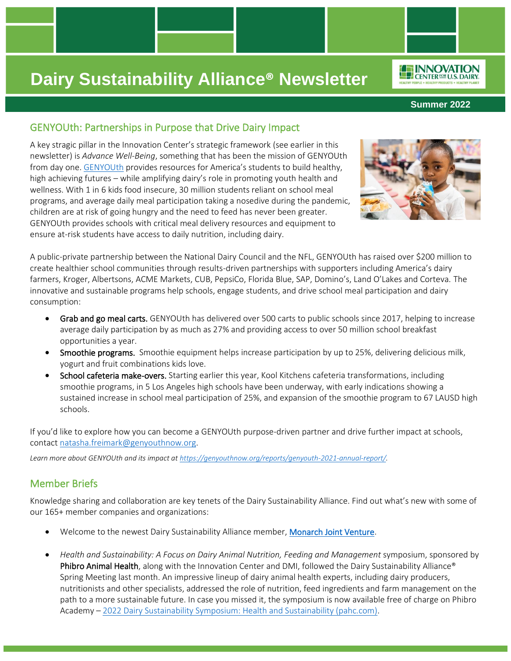**Summer 2022**

*ILE INNOVATION* CENTER<sup>FOR</sup> U.S. DAIRY

### GENYOUth: Partnerships in Purpose that Drive Dairy Impact

A key stragic pillar in the Innovation Center's strategic framework (see earlier in this newsletter) is *Advance Well-Being*, something that has been the mission of GENYOUth from day one. [GENYOUth](https://genyouthnow.org/) provides resources for America's students to build healthy, high achieving futures – while amplifying dairy's role in promoting youth health and wellness. With 1 in 6 kids food insecure, 30 million students reliant on school meal programs, and average daily meal participation taking a nosedive during the pandemic, children are at risk of going hungry and the need to feed has never been greater. GENYOUth provides schools with critical meal delivery resources and equipment to ensure at-risk students have access to daily nutrition, including dairy.



A public-private partnership between the National Dairy Council and the NFL, GENYOUth has raised over \$200 million to create healthier school communities through results-driven partnerships with supporters including America's dairy farmers, Kroger, Albertsons, ACME Markets, CUB, PepsiCo, Florida Blue, SAP, Domino's, Land O'Lakes and Corteva. The innovative and sustainable programs help schools, engage students, and drive school meal participation and dairy consumption:

- Grab and go meal carts. GENYOUth has delivered over 500 carts to public schools since 2017, helping to increase average daily participation by as much as 27% and providing access to over 50 million school breakfast opportunities a year.
- Smoothie programs. Smoothie equipment helps increase participation by up to 25%, delivering delicious milk, yogurt and fruit combinations kids love.
- School cafeteria make-overs. Starting earlier this year, Kool Kitchens cafeteria transformations, including smoothie programs, in 5 Los Angeles high schools have been underway, with early indications showing a sustained increase in school meal participation of 25%, and expansion of the smoothie program to 67 LAUSD high schools.

If you'd like to explore how you can become a GENYOUth purpose-driven partner and drive further impact at schools, contac[t natasha.freimark@genyouthnow.org.](mailto:natasha.freimark@genyouthnow.org)

*Learn more about GENYOUth and its impact a[t https://genyouthnow.org/reports/genyouth-2021-annual-report/.](https://genyouthnow.org/reports/genyouth-2021-annual-report/)*

## Member Briefs

Knowledge sharing and collaboration are key tenets of the Dairy Sustainability Alliance. Find out what's new with some of our 165+ member companies and organizations:

- Welcome to the newest Dairy Sustainability Alliance member[, Monarch Joint Venture.](https://monarchjointventure.org/)
- *Health and Sustainability: A Focus on Dairy Animal Nutrition, Feeding and Management* symposium, sponsored by Phibro Animal Health, along with the Innovation Center and DMI, followed the Dairy Sustainability Alliance® Spring Meeting last month. An impressive lineup of dairy animal health experts, including dairy producers, nutritionists and other specialists, addressed the role of nutrition, feed ingredients and farm management on the path to a more sustainable future. In case you missed it, the symposium is now available free of charge on Phibro Academy – [2022 Dairy Sustainability Symposium: Health and Sustainability \(pahc.com\).](https://academy.pahc.com/catalog/info/id:451)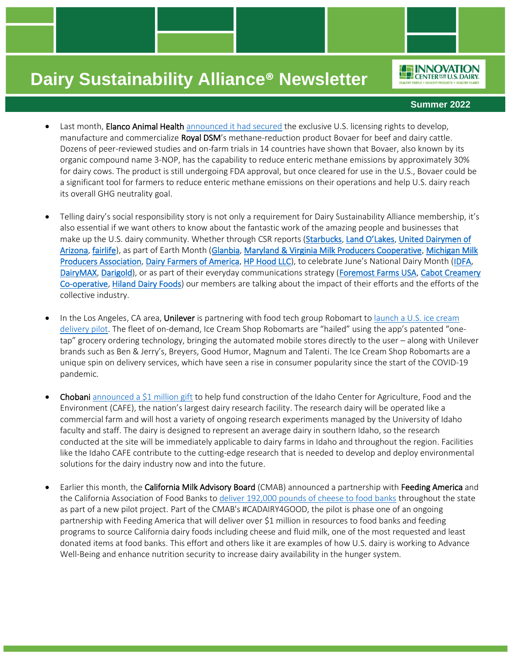#### **Summer 2022**

*ILE INNOVATION* CENTER<sup>FOR</sup> U.S. DAIRY

- Last month, Elanco Animal Health [announced it had secured](https://www.dairyreporter.com/Article/2022/04/28/elanco-and-royal-dsm-announce-us-strategic-alliance-on-bovaer?utm_source=copyright&utm_medium=OnSite&utm_campaign=copyright) the exclusive U.S. licensing rights to develop, manufacture and commercialize Royal DSM's methane-reduction product Bovaer for beef and dairy cattle. Dozens of peer-reviewed studies and on-farm trials in 14 countries have shown that Bovaer, also known by its organic compound name 3-NOP, has the capability to reduce enteric methane emissions by approximately 30% for dairy cows. The product is still undergoing FDA approval, but once cleared for use in the U.S., Bovaer could be a significant tool for farmers to reduce enteric methane emissions on their operations and help U.S. dairy reach its overall GHG neutrality goal.
- Telling dairy's social responsibility story is not only a requirement for Dairy Sustainability Alliance membership, it's also essential if we want others to know about the fantastic work of the amazing people and businesses that make up the U.S. dairy community. Whether through CSR reports [\(Starbucks,](https://stories.starbucks.com/uploads/2022/04/Starbucks-2021-Global-Environmental-and-Social-Impact-Report-1.pdf) [Land O'Lakes](https://issuu.com/landolakesinc1/docs/land_o_lakes_2021_esg_report)[, United Dairymen of](https://issuu.com/udaz/docs/2020_csr-5.23-_final_1_)  [Arizona,](https://issuu.com/udaz/docs/2020_csr-5.23-_final_1_) [fairlife\)](https://fairlife.com/wp-content/uploads/2022/01/Stewardship-Report_FINAL.pdf), as part of Earth Month [\(Glanbia,](https://www.linkedin.com/posts/glanbia_earthday-investinourplanet-earthdayeveryday-ugcPost-6923235232158502912-pIBX/?utm_source=linkedin_share&utm_medium=member_desktop_web) [Maryland & Virginia Milk Producers Cooperative,](https://www.linkedin.com/posts/maryland-%26-virginia-milk-producers-cooperative-association-inc._thinking-outside-the-bay-activity-6923315730092367873-BJft/?utm_source=linkedin_share&utm_medium=member_desktop_web) [Michigan Milk](https://www.linkedin.com/posts/michigan-milk-producers-association_earthday-activity-6923209038302236672-vch2/?utm_source=linkedin_share&utm_medium=member_desktop_web)  [Producers Association,](https://www.linkedin.com/posts/michigan-milk-producers-association_earthday-activity-6923209038302236672-vch2/?utm_source=linkedin_share&utm_medium=member_desktop_web) [Dairy Farmers of America,](https://www.linkedin.com/feed/update/urn:li:activity:6923345969774297088/) [HP Hood LLC\)](https://www.linkedin.com/feed/update/urn:li:activity:6917464540305584129/), to celebrate June's National Dairy Month ([IDFA,](https://www.youtube.com/watch?v=50wqoBNLrMo&t=7s) [DairyMAX,](https://dairytour360.com/) [Darigold\)](https://www.linkedin.com/feed/update/urn:li:activity:6940463295896174593/), or as part of their everyday communications strategy [\(Foremost Farms USA,](https://www.linkedin.com/posts/foremostfarms_foretheenvironment-activity-6930493738012078080-YR9c?utm_source=linkedin_share&utm_medium=member_desktop_web) [Cabot Creamery](https://www.linkedin.com/company/cabot-creamery/posts/?feedView=all)  [Co-operative,](https://www.linkedin.com/company/cabot-creamery/posts/?feedView=all) [Hiland Dairy Foods\)](https://www.linkedin.com/posts/hilanddairyfoods_q-can-dairy-be-sustainable-a-yes-some-activity-6934874412248698880-EI_6?utm_source=linkedin_share&utm_medium=member_desktop_web) our members are talking about the impact of their efforts and the efforts of the collective industry.
- In the Los Angeles, CA area, Unilever is partnering with food tech group Robomart to launch a U.S. ice cream [delivery pilot.](https://www.dairyreporter.com/Article/2022/05/19/unilever-pilots-robomart-automated-on-demand-delivery-to-revolutionize-the-ice-cream-truck?utm_source=newsletter_daily&utm_medium=email&utm_campaign=19-May-2022&cid=DM1005327&bid=1939932966) The fleet of on-demand, Ice Cream Shop Robomarts are "hailed" using the app's patented "onetap" grocery ordering technology, bringing the automated mobile stores directly to the user – along with Unilever brands such as Ben & Jerry's, Breyers, Good Humor, Magnum and Talenti. The Ice Cream Shop Robomarts are a unique spin on delivery services, which have seen a rise in consumer popularity since the start of the COVID-19 pandemic.
- Chobani [announced a \\$1 million gift](https://www.feedstuffs.com/news/chobani-commits-1m-nations-largest-research-dairy?NL=FP-006&Issue=FP-006_20220512_FP-006_506&sfvc4enews=42&cl=article_2&utm_rid=CPG02000003560621&utm_campaign=67502&utm_medium=email&elq2=611a144ea3bc4cb98ec1653d624c8f6b&sp_eh=&sp_eh=) to help fund construction of the Idaho Center for Agriculture, Food and the Environment (CAFE), the nation's largest dairy research facility. The research dairy will be operated like a commercial farm and will host a variety of ongoing research experiments managed by the University of Idaho faculty and staff. The dairy is designed to represent an average dairy in southern Idaho, so the research conducted at the site will be immediately applicable to dairy farms in Idaho and throughout the region. Facilities like the Idaho CAFE contribute to the cutting-edge research that is needed to develop and deploy environmental solutions for the dairy industry now and into the future.
- Earlier this month, the California Milk Advisory Board (CMAB) announced a partnership with Feeding America and the California Association of Food Banks to [deliver 192,000 pounds of cheese to food banks](https://www.prnewswire.com/news-releases/california-dairy-families-partner-with-feeding-america-and-the-california-association-of-food-banks-to-shred-hunger-with-pilot-project-delivering-more-than-190-000-pounds-of-cheese-to-feeding-programs-throughout-the-state-301560353.html) throughout the state as part of a new pilot project. Part of the CMAB's #CADAIRY4GOOD, the pilot is phase one of an ongoing partnership with Feeding America that will deliver over \$1 million in resources to food banks and feeding programs to source California dairy foods including cheese and fluid milk, one of the most requested and least donated items at food banks. This effort and others like it are examples of how U.S. dairy is working to Advance Well-Being and enhance nutrition security to increase dairy availability in the hunger system.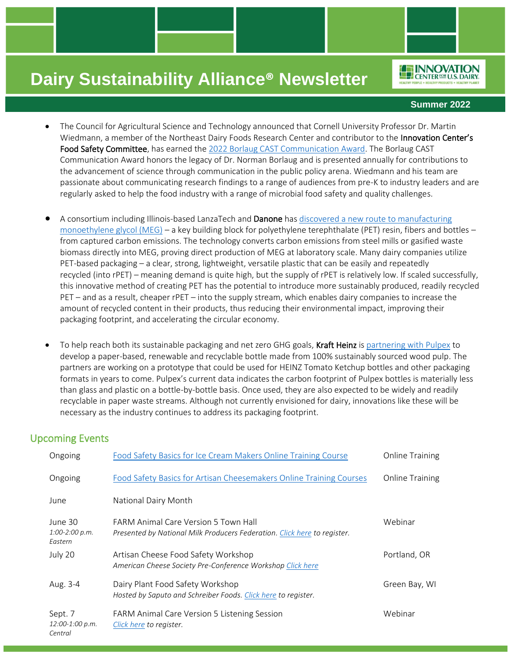**Summer 2022**

*ILE INNOVATION* CENTER<sup>FOR</sup> U.S. DAIRY

- The Council for Agricultural Science and Technology announced that Cornell University Professor Dr. Martin Wiedmann, a member of the Northeast Dairy Foods Research Center and contributor to the Innovation Center's Food Safety Committee, has earned the [2022 Borlaug CAST Communication Award.](https://www.cast-science.org/martin-wiedmann-announced-as-the-2022-borlaug-cast-communication-award-recipient/) The Borlaug CAST Communication Award honors the legacy of Dr. Norman Borlaug and is presented annually for contributions to the advancement of science through communication in the public policy arena. Wiedmann and his team are passionate about communicating research findings to a range of audiences from pre-K to industry leaders and are regularly asked to help the food industry with a range of microbial food safety and quality challenges.
- A consortium including Illinois-based LanzaTech and Danone has discovered a new route to manufacturing [monoethylene glycol \(MEG\)](https://sustainablebrands.com/read/chemistry-materials-packaging/lanzatech-with-support-of-danone-discovers-breakthrough-method-to-produce-pet-from-captured-carbon/?utm_source=newsletter&utm_medium=email&utm_campaign=nl_220530) – a key building block for polyethylene terephthalate (PET) resin, fibers and bottles – from captured carbon emissions. The technology converts carbon emissions from steel mills or gasified waste biomass directly into MEG, proving direct production of MEG at laboratory scale. Many dairy companies utilize PET-based packaging – a clear, strong, lightweight, versatile plastic that can be easily and repeatedly recycled (into rPET) – meaning demand is quite high, but the supply of rPET is relatively low. If scaled successfully, this innovative method of creating PET has the potential to introduce more sustainably produced, readily recycled PET – and as a result, cheaper rPET – into the supply stream, which enables dairy companies to increase the amount of recycled content in their products, thus reducing their environmental impact, improving their packaging footprint, and accelerating the circular economy.
- To help reach both its sustainable packaging and net zero GHG goals, Kraft Heinz is [partnering with Pulpex](https://www.businesswire.com/news/home/20220509006068/en/Kraft-Heinz-Explores-the-Ketchup-Bottle-of-Tomorrow) to develop a paper-based, renewable and recyclable bottle made from 100% sustainably sourced wood pulp. The partners are working on a prototype that could be used for HEINZ Tomato Ketchup bottles and other packaging formats in years to come. Pulpex's current data indicates the carbon footprint of Pulpex bottles is materially less than glass and plastic on a bottle-by-bottle basis. Once used, they are also expected to be widely and readily recyclable in paper waste streams. Although not currently envisioned for dairy, innovations like these will be necessary as the industry continues to address its packaging footprint.

## Upcoming Events

| Ongoing                                | Food Safety Basics for Ice Cream Makers Online Training Course                                                          | <b>Online Training</b> |
|----------------------------------------|-------------------------------------------------------------------------------------------------------------------------|------------------------|
| Ongoing                                | Food Safety Basics for Artisan Cheesemakers Online Training Courses                                                     | <b>Online Training</b> |
| June                                   | National Dairy Month                                                                                                    |                        |
| June 30<br>$1:00-2:00 p.m.$<br>Eastern | <b>FARM Animal Care Version 5 Town Hall</b><br>Presented by National Milk Producers Federation. Click here to register. | Webinar                |
| July 20                                | Artisan Cheese Food Safety Workshop<br>American Cheese Society Pre-Conference Workshop Click here                       | Portland, OR           |
| Aug. 3-4                               | Dairy Plant Food Safety Workshop<br>Hosted by Saputo and Schreiber Foods. Click here to register.                       | Green Bay, WI          |
| Sept. 7<br>12:00-1:00 p.m.<br>Central  | FARM Animal Care Version 5 Listening Session<br>Click here to register.                                                 | Webinar                |